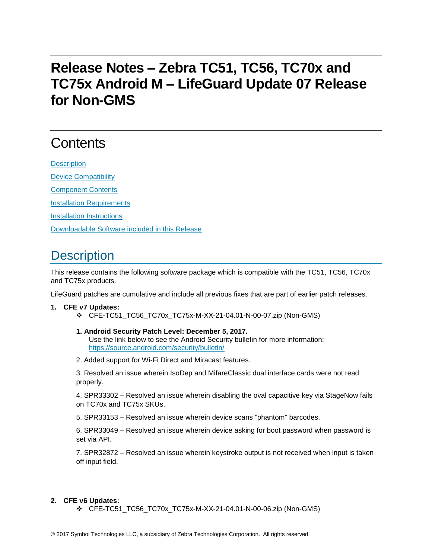# **Release Notes – Zebra TC51, TC56, TC70x and TC75x Android M – LifeGuard Update 07 Release for Non-GMS**

# **Contents**

**[Description](#page-0-0)** [Device Compatibility](#page-1-0) [Component Contents](#page-2-0) [Installation Requirements](#page-2-1) [Installation Instructions](#page-3-0) [Downloadable Software included in this Release](#page-4-0)

### <span id="page-0-0"></span>**Description**

This release contains the following software package which is compatible with the TC51, TC56, TC70x and TC75x products.

LifeGuard patches are cumulative and include all previous fixes that are part of earlier patch releases.

#### **1. CFE v7 Updates:**

CFE-TC51\_TC56\_TC70x\_TC75x-M-XX-21-04.01-N-00-07.zip (Non-GMS)

#### **1. Android Security Patch Level: December 5, 2017.**

Use the link below to see the Android Security bulletin for more information: <https://source.android.com/security/bulletin/>

2. Added support for Wi-Fi Direct and Miracast features.

3. Resolved an issue wherein IsoDep and MifareClassic dual interface cards were not read properly.

4. SPR33302 – Resolved an issue wherein disabling the oval capacitive key via StageNow fails on TC70x and TC75x SKUs.

5. SPR33153 – Resolved an issue wherein device scans "phantom" barcodes.

6. SPR33049 – Resolved an issue wherein device asking for boot password when password is set via API.

7. SPR32872 – Resolved an issue wherein keystroke output is not received when input is taken off input field.

#### **2. CFE v6 Updates:**

 $\div$  CFE-TC51 TC56 TC70x TC75x-M-XX-21-04.01-N-00-06.zip (Non-GMS)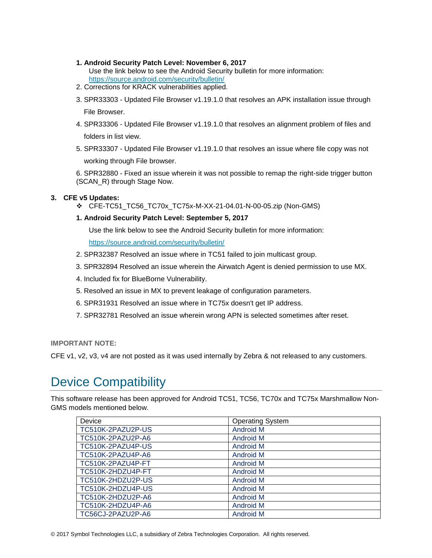- **1. Android Security Patch Level: November 6, 2017**
	- Use the link below to see the Android Security bulletin for more information: <https://source.android.com/security/bulletin/>
- 2. Corrections for KRACK vulnerabilities applied.
- 3. SPR33303 Updated File Browser v1.19.1.0 that resolves an APK installation issue through File Browser.
- 4. SPR33306 Updated File Browser v1.19.1.0 that resolves an alignment problem of files and folders in list view.
- 5. SPR33307 Updated File Browser v1.19.1.0 that resolves an issue where file copy was not

working through File browser.

6. SPR32880 - Fixed an issue wherein it was not possible to remap the right-side trigger button (SCAN\_R) through Stage Now.

#### **3. CFE v5 Updates:**

CFE-TC51\_TC56\_TC70x\_TC75x-M-XX-21-04.01-N-00-05.zip (Non-GMS)

#### **1. Android Security Patch Level: September 5, 2017**

Use the link below to see the Android Security bulletin for more information:

<https://source.android.com/security/bulletin/>

- 2. SPR32387 Resolved an issue where in TC51 failed to join multicast group.
- 3. SPR32894 Resolved an issue wherein the Airwatch Agent is denied permission to use MX.
- 4. Included fix for BlueBorne Vulnerability.
- 5. Resolved an issue in MX to prevent leakage of configuration parameters.
- 6. SPR31931 Resolved an issue where in TC75x doesn't get IP address.
- 7. SPR32781 Resolved an issue wherein wrong APN is selected sometimes after reset.

**IMPORTANT NOTE:**

CFE v1, v2, v3, v4 are not posted as it was used internally by Zebra & not released to any customers.

## <span id="page-1-0"></span>Device Compatibility

This software release has been approved for Android TC51, TC56, TC70x and TC75x Marshmallow Non-GMS models mentioned below.

| Device            | <b>Operating System</b> |
|-------------------|-------------------------|
| TC510K-2PAZU2P-US | <b>Android M</b>        |
| TC510K-2PAZU2P-A6 | <b>Android M</b>        |
| TC510K-2PAZU4P-US | <b>Android M</b>        |
| TC510K-2PAZU4P-A6 | <b>Android M</b>        |
| TC510K-2PAZU4P-FT | <b>Android M</b>        |
| TC510K-2HDZU4P-FT | <b>Android M</b>        |
| TC510K-2HDZU2P-US | <b>Android M</b>        |
| TC510K-2HDZU4P-US | Android M               |
| TC510K-2HDZU2P-A6 | <b>Android M</b>        |
| TC510K-2HDZU4P-A6 | <b>Android M</b>        |
| TC56CJ-2PAZU2P-A6 | <b>Android M</b>        |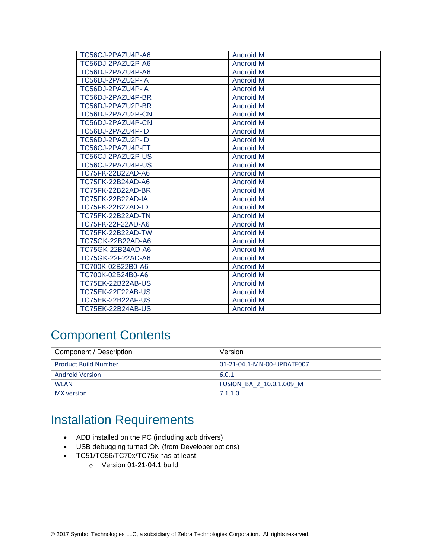| TC56CJ-2PAZU4P-A6        | <b>Android M</b> |
|--------------------------|------------------|
| TC56DJ-2PAZU2P-A6        | <b>Android M</b> |
| TC56DJ-2PAZU4P-A6        | <b>Android M</b> |
| TC56DJ-2PAZU2P-IA        | <b>Android M</b> |
| TC56DJ-2PAZU4P-IA        | <b>Android M</b> |
| TC56DJ-2PAZU4P-BR        | <b>Android M</b> |
| TC56DJ-2PAZU2P-BR        | <b>Android M</b> |
| TC56DJ-2PAZU2P-CN        | <b>Android M</b> |
| TC56DJ-2PAZU4P-CN        | <b>Android M</b> |
| TC56DJ-2PAZU4P-ID        | <b>Android M</b> |
| TC56DJ-2PAZU2P-ID        | <b>Android M</b> |
| TC56CJ-2PAZU4P-FT        | <b>Android M</b> |
| TC56CJ-2PAZU2P-US        | <b>Android M</b> |
| TC56CJ-2PAZU4P-US        | <b>Android M</b> |
| TC75FK-22B22AD-A6        | <b>Android M</b> |
| TC75FK-22B24AD-A6        | <b>Android M</b> |
| <b>TC75FK-22B22AD-BR</b> | <b>Android M</b> |
| <b>TC75FK-22B22AD-IA</b> | <b>Android M</b> |
| <b>TC75FK-22B22AD-ID</b> | <b>Android M</b> |
| <b>TC75FK-22B22AD-TN</b> | <b>Android M</b> |
| TC75FK-22F22AD-A6        | <b>Android M</b> |
| TC75FK-22B22AD-TW        | <b>Android M</b> |
| TC75GK-22B22AD-A6        | <b>Android M</b> |
| TC75GK-22B24AD-A6        | <b>Android M</b> |
| TC75GK-22F22AD-A6        | <b>Android M</b> |
| TC700K-02B22B0-A6        | <b>Android M</b> |
| TC700K-02B24B0-A6        | <b>Android M</b> |
| <b>TC75EK-22B22AB-US</b> | <b>Android M</b> |
| <b>TC75EK-22F22AB-US</b> | <b>Android M</b> |
| TC75EK-22B22AF-US        | <b>Android M</b> |
| <b>TC75EK-22B24AB-US</b> | <b>Android M</b> |

## <span id="page-2-0"></span>Component Contents

| Component / Description     | Version                    |
|-----------------------------|----------------------------|
| <b>Product Build Number</b> | 01-21-04.1-MN-00-UPDATE007 |
| <b>Android Version</b>      | 6.0.1                      |
| <b>WLAN</b>                 | FUSION BA 2 10.0.1.009 M   |
| MX version                  | 7.1.1.0                    |

### <span id="page-2-1"></span>Installation Requirements

- ADB installed on the PC (including adb drivers)
- USB debugging turned ON (from Developer options)
- TC51/TC56/TC70x/TC75x has at least:
	- o Version 01-21-04.1 build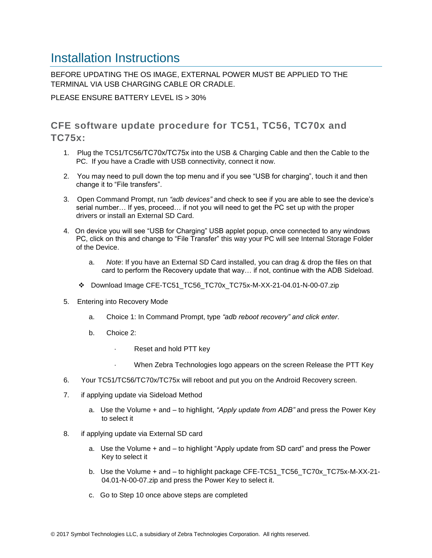### <span id="page-3-0"></span>Installation Instructions

BEFORE UPDATING THE OS IMAGE, EXTERNAL POWER MUST BE APPLIED TO THE TERMINAL VIA USB CHARGING CABLE OR CRADLE.

PLEASE ENSURE BATTERY LEVEL IS > 30%

CFE software update procedure for TC51, TC56, TC70x and  $TC75x$ 

- 1. Plug the TC51/TC56/TC70x/TC75x into the USB & Charging Cable and then the Cable to the PC. If you have a Cradle with USB connectivity, connect it now.
- 2. You may need to pull down the top menu and if you see "USB for charging", touch it and then change it to "File transfers".
- 3. Open Command Prompt, run *"adb devices"* and check to see if you are able to see the device's serial number… If yes, proceed… if not you will need to get the PC set up with the proper drivers or install an External SD Card.
- 4. On device you will see "USB for Charging" USB applet popup, once connected to any windows PC, click on this and change to "File Transfer" this way your PC will see Internal Storage Folder of the Device.
	- a. *Note*: If you have an External SD Card installed, you can drag & drop the files on that card to perform the Recovery update that way… if not, continue with the ADB Sideload.
	- Download Image CFE-TC51\_TC56\_TC70x\_TC75x-M-XX-21-04.01-N-00-07.zip
- 5. Entering into Recovery Mode
	- a. Choice 1: In Command Prompt, type *"adb reboot recovery" and click enter*.
	- b. Choice 2:
		- Reset and hold PTT key
		- When Zebra Technologies logo appears on the screen Release the PTT Key
- 6. Your TC51/TC56/TC70x/TC75x will reboot and put you on the Android Recovery screen.
- 7. if applying update via Sideload Method
	- a. Use the Volume + and to highlight, *"Apply update from ADB"* and press the Power Key to select it
- 8. if applying update via External SD card
	- a. Use the Volume + and to highlight "Apply update from SD card" and press the Power Key to select it
	- b. Use the Volume + and to highlight package CFE-TC51\_TC56\_TC70x\_TC75x-M-XX-21- 04.01-N-00-07.zip and press the Power Key to select it.
	- c. Go to Step 10 once above steps are completed